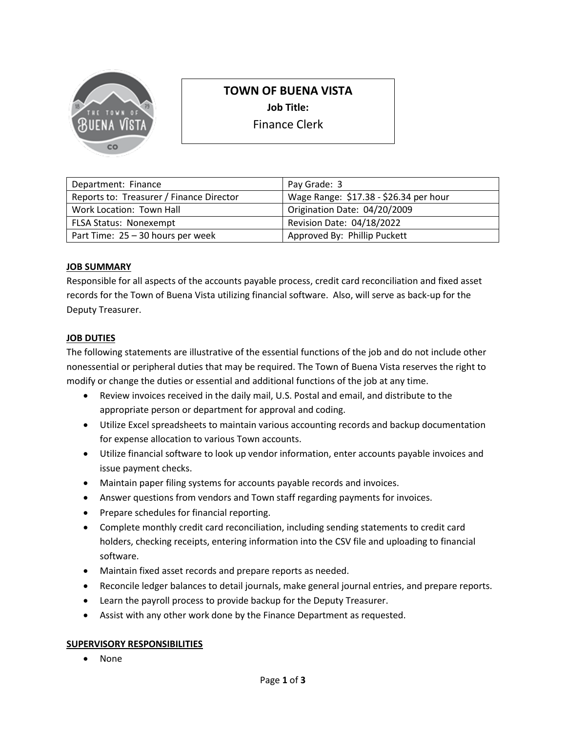

# **TOWN OF BUENA VISTA**

**Job Title:** 

Finance Clerk

| Department: Finance                      | Pay Grade: 3                           |
|------------------------------------------|----------------------------------------|
| Reports to: Treasurer / Finance Director | Wage Range: \$17.38 - \$26.34 per hour |
| Work Location: Town Hall                 | Origination Date: 04/20/2009           |
| <b>FLSA Status: Nonexempt</b>            | Revision Date: 04/18/2022              |
| Part Time: $25 - 30$ hours per week      | Approved By: Phillip Puckett           |

## **JOB SUMMARY**

Responsible for all aspects of the accounts payable process, credit card reconciliation and fixed asset records for the Town of Buena Vista utilizing financial software. Also, will serve as back-up for the Deputy Treasurer.

## **JOB DUTIES**

The following statements are illustrative of the essential functions of the job and do not include other nonessential or peripheral duties that may be required. The Town of Buena Vista reserves the right to modify or change the duties or essential and additional functions of the job at any time.

- Review invoices received in the daily mail, U.S. Postal and email, and distribute to the appropriate person or department for approval and coding.
- Utilize Excel spreadsheets to maintain various accounting records and backup documentation for expense allocation to various Town accounts.
- Utilize financial software to look up vendor information, enter accounts payable invoices and issue payment checks.
- Maintain paper filing systems for accounts payable records and invoices.
- Answer questions from vendors and Town staff regarding payments for invoices.
- Prepare schedules for financial reporting.
- Complete monthly credit card reconciliation, including sending statements to credit card holders, checking receipts, entering information into the CSV file and uploading to financial software.
- Maintain fixed asset records and prepare reports as needed.
- Reconcile ledger balances to detail journals, make general journal entries, and prepare reports.
- Learn the payroll process to provide backup for the Deputy Treasurer.
- Assist with any other work done by the Finance Department as requested.

#### **SUPERVISORY RESPONSIBILITIES**

• None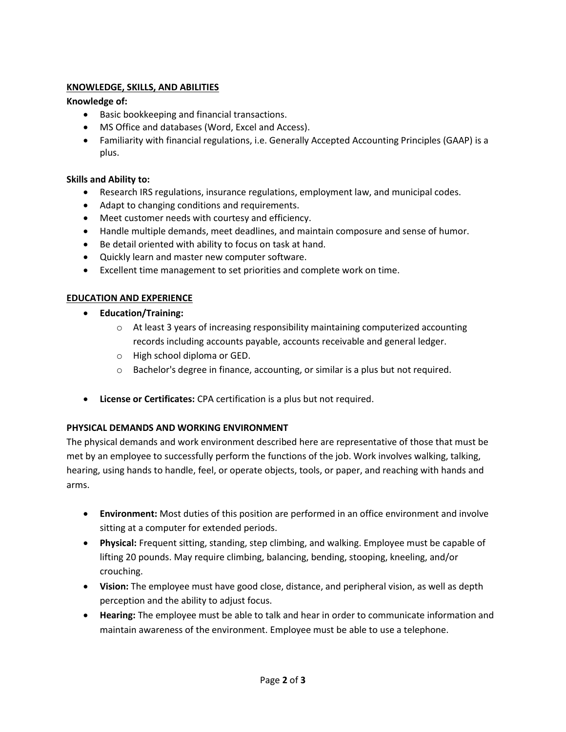# **KNOWLEDGE, SKILLS, AND ABILITIES**

## **Knowledge of:**

- Basic bookkeeping and financial transactions.
- MS Office and databases (Word, Excel and Access).
- Familiarity with financial regulations, i.e. Generally Accepted Accounting Principles (GAAP) is a plus.

#### **Skills and Ability to:**

- Research IRS regulations, insurance regulations, employment law, and municipal codes.
- Adapt to changing conditions and requirements.
- Meet customer needs with courtesy and efficiency.
- Handle multiple demands, meet deadlines, and maintain composure and sense of humor.
- Be detail oriented with ability to focus on task at hand.
- Quickly learn and master new computer software.
- Excellent time management to set priorities and complete work on time.

## **EDUCATION AND EXPERIENCE**

- **Education/Training:**
	- o At least 3 years of increasing responsibility maintaining computerized accounting records including accounts payable, accounts receivable and general ledger.
	- o High school diploma or GED.
	- o Bachelor's degree in finance, accounting, or similar is a plus but not required.
- **License or Certificates:** CPA certification is a plus but not required.

#### **PHYSICAL DEMANDS AND WORKING ENVIRONMENT**

The physical demands and work environment described here are representative of those that must be met by an employee to successfully perform the functions of the job. Work involves walking, talking, hearing, using hands to handle, feel, or operate objects, tools, or paper, and reaching with hands and arms.

- **Environment:** Most duties of this position are performed in an office environment and involve sitting at a computer for extended periods.
- **Physical:** Frequent sitting, standing, step climbing, and walking. Employee must be capable of lifting 20 pounds. May require climbing, balancing, bending, stooping, kneeling, and/or crouching.
- **Vision:** The employee must have good close, distance, and peripheral vision, as well as depth perception and the ability to adjust focus.
- **Hearing:** The employee must be able to talk and hear in order to communicate information and maintain awareness of the environment. Employee must be able to use a telephone.